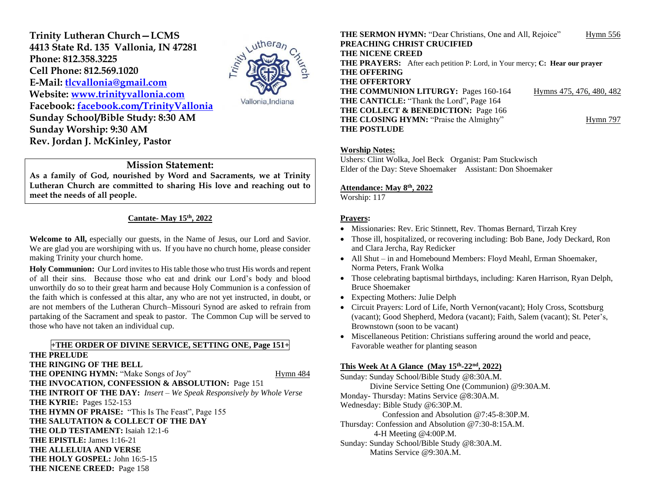**Trinity Lutheran Church—LCMS 4413 State Rd. 135 Vallonia, IN 47281 Phone: 812.358.3225 Cell Phone: 812.569.1020 E-Mail: [tlcvallonia@gmail.com](mailto:tlcvallonia@gmail.com) Website: [www.trinityvallonia.com](http://www.trinityvallonia.com/) Facebook: [facebook.com/TrinityVallonia](http://facebook.com/TrinityVallonia)  Sunday School/Bible Study: 8:30 AM Sunday Worship: 9:30 AM Rev. Jordan J. McKinley, Pastor**



Vallonia, Indiana

#### **Mission Statement:**

**As a family of God, nourished by Word and Sacraments, we at Trinity Lutheran Church are committed to sharing His love and reaching out to meet the needs of all people.**

#### **Cantate- May 15th, 2022**

**Welcome to All,** especially our guests, in the Name of Jesus, our Lord and Savior. We are glad you are worshiping with us. If you have no church home, please consider making Trinity your church home.

**Holy Communion:** Our Lord invites to His table those who trust His words and repent of all their sins. Because those who eat and drink our Lord's body and blood unworthily do so to their great harm and because Holy Communion is a confession of the faith which is confessed at this altar, any who are not yet instructed, in doubt, or are not members of the Lutheran Church–Missouri Synod are asked to refrain from partaking of the Sacrament and speak to pastor. The Common Cup will be served to those who have not taken an individual cup.

## **+THE ORDER OF DIVINE SERVICE, SETTING ONE, Page 151+**

**THE PRELUDE THE RINGING OF THE BELL THE OPENING HYMN:** "Make Songs of Joy" Hymn 484 **THE INVOCATION, CONFESSION & ABSOLUTION:** Page 151 **THE INTROIT OF THE DAY:** *Insert – We Speak Responsively by Whole Verse* **THE KYRIE:** Pages 152-153 **THE HYMN OF PRAISE:** "This Is The Feast", Page 155 **THE SALUTATION & COLLECT OF THE DAY THE OLD TESTAMENT:** Isaiah 12:1-6 **THE EPISTLE:** James 1:16-21 **THE ALLELUIA AND VERSE THE HOLY GOSPEL:** John 16:5-15 **THE NICENE CREED:** Page 158

**THE SERMON HYMN:** "Dear Christians, One and All, Rejoice" Hymn 556 **PREACHING CHRIST CRUCIFIED THE NICENE CREED THE PRAYERS:** After each petition P: Lord, in Your mercy; **C: Hear our prayer THE OFFERING THE OFFERTORY THE COMMUNION LITURGY:** Pages 160-164 Hymns 475, 476, 480, 482 **THE CANTICLE:** "Thank the Lord", Page 164 **THE COLLECT & BENEDICTION:** Page 166 **THE CLOSING HYMN:** "Praise the Almighty" Hymn 797 **THE POSTLUDE**

#### **Worship Notes:**

Ushers: Clint Wolka, Joel Beck Organist: Pam Stuckwisch Elder of the Day: Steve Shoemaker Assistant: Don Shoemaker

#### **Attendance: May 8 th, 2022**

Worship: 117

#### **Prayers:**

- Missionaries: Rev. Eric Stinnett, Rev. Thomas Bernard, Tirzah Krey
- Those ill, hospitalized, or recovering including: Bob Bane, Jody Deckard, Ron and Clara Jercha, Ray Redicker
- All Shut in and Homebound Members: Floyd Meahl, Erman Shoemaker, Norma Peters, Frank Wolka
- Those celebrating baptismal birthdays, including: Karen Harrison, Ryan Delph, Bruce Shoemaker
- Expecting Mothers: Julie Delph
- Circuit Prayers: Lord of Life, North Vernon(vacant); Holy Cross, Scottsburg (vacant); Good Shepherd, Medora (vacant); Faith, Salem (vacant); St. Peter's, Brownstown (soon to be vacant)
- Miscellaneous Petition: Christians suffering around the world and peace, Favorable weather for planting season

#### **This Week At A Glance (May 15 th -22nd , 2022)**

Sunday: Sunday School/Bible Study @8:30A.M. Divine Service Setting One (Communion) @9:30A.M. Monday- Thursday: Matins Service @8:30A.M. Wednesday: Bible Study @6:30P.M. Confession and Absolution @7:45-8:30P.M. Thursday: Confession and Absolution @7:30-8:15A.M. 4-H Meeting @4:00P.M. Sunday: Sunday School/Bible Study @8:30A.M. Matins Service @9:30A.M.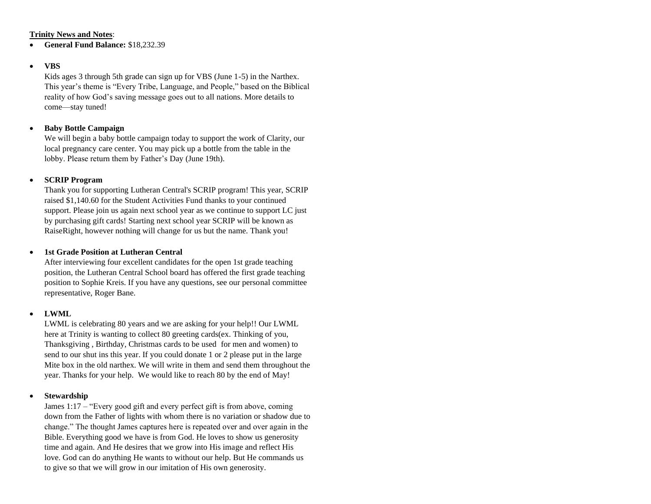#### **Trinity News and Notes**:

• **General Fund Balance:** \$18,232.39

## • **VBS**

Kids ages 3 through 5th grade can sign up for VBS (June 1-5) in the Narthex. This year's theme is "Every Tribe, Language, and People," based on the Biblical reality of how God's saving message goes out to all nations. More details to come—stay tuned!

## • **Baby Bottle Campaign**

We will begin a baby bottle campaign today to support the work of Clarity, our local pregnancy care center. You may pick up a bottle from the table in the lobby. Please return them by Father's Day (June 19th).

## • **SCRIP Program**

Thank you for supporting Lutheran Central's SCRIP program! This year, SCRIP raised \$1,140.60 for the Student Activities Fund thanks to your continued support. Please join us again next school year as we continue to support LC just by purchasing gift cards! Starting next school year SCRIP will be known as RaiseRight, however nothing will change for us but the name. Thank you!

## • **1st Grade Position at Lutheran Central**

After interviewing four excellent candidates for the open 1st grade teaching position, the Lutheran Central School board has offered the first grade teaching position to Sophie Kreis. If you have any questions, see our personal committee representative, Roger Bane.

## • **LWML**

LWML is celebrating 80 years and we are asking for your help!! Our LWML here at Trinity is wanting to collect 80 greeting cards(ex. Thinking of you, Thanksgiving , Birthday, Christmas cards to be used for men and women) to send to our shut ins this year. If you could donate 1 or 2 please put in the large Mite box in the old narthex. We will write in them and send them throughout the year. Thanks for your help. We would like to reach 80 by the end of May!

## • **Stewardship**

James 1:17 – "Every good gift and every perfect gift is from above, coming down from the Father of lights with whom there is no variation or shadow due to change." The thought James captures here is repeated over and over again in the Bible. Everything good we have is from God. He loves to show us generosity time and again. And He desires that we grow into His image and reflect His love. God can do anything He wants to without our help. But He commands us to give so that we will grow in our imitation of His own generosity.